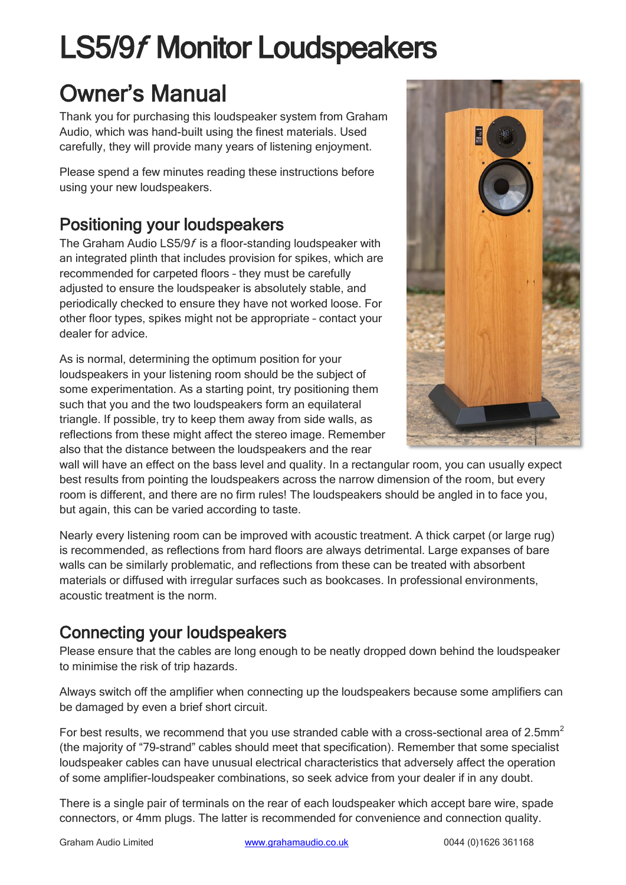# LS5/9f Monitor Loudspeakers

# Owner's Manual

Thank you for purchasing this loudspeaker system from Graham Audio, which was hand-built using the finest materials. Used carefully, they will provide many years of listening enjoyment.

Please spend a few minutes reading these instructions before using your new loudspeakers.

## Positioning your loudspeakers

The Graham Audio LS5/9f is a floor-standing loudspeaker with an integrated plinth that includes provision for spikes, which are recommended for carpeted floors – they must be carefully adjusted to ensure the loudspeaker is absolutely stable, and periodically checked to ensure they have not worked loose. For other floor types, spikes might not be appropriate – contact your dealer for advice.

As is normal, determining the optimum position for your loudspeakers in your listening room should be the subject of some experimentation. As a starting point, try positioning them such that you and the two loudspeakers form an equilateral triangle. If possible, try to keep them away from side walls, as reflections from these might affect the stereo image. Remember also that the distance between the loudspeakers and the rear



wall will have an effect on the bass level and quality. In a rectangular room, you can usually expect best results from pointing the loudspeakers across the narrow dimension of the room, but every room is different, and there are no firm rules! The loudspeakers should be angled in to face you, but again, this can be varied according to taste.

Nearly every listening room can be improved with acoustic treatment. A thick carpet (or large rug) is recommended, as reflections from hard floors are always detrimental. Large expanses of bare walls can be similarly problematic, and reflections from these can be treated with absorbent materials or diffused with irregular surfaces such as bookcases. In professional environments, acoustic treatment is the norm.

### Connecting your loudspeakers

Please ensure that the cables are long enough to be neatly dropped down behind the loudspeaker to minimise the risk of trip hazards.

Always switch off the amplifier when connecting up the loudspeakers because some amplifiers can be damaged by even a brief short circuit.

For best results, we recommend that you use stranded cable with a cross-sectional area of 2.5mm<sup>2</sup> (the majority of "79-strand" cables should meet that specification). Remember that some specialist loudspeaker cables can have unusual electrical characteristics that adversely affect the operation of some amplifier-loudspeaker combinations, so seek advice from your dealer if in any doubt.

There is a single pair of terminals on the rear of each loudspeaker which accept bare wire, spade connectors, or 4mm plugs. The latter is recommended for convenience and connection quality.